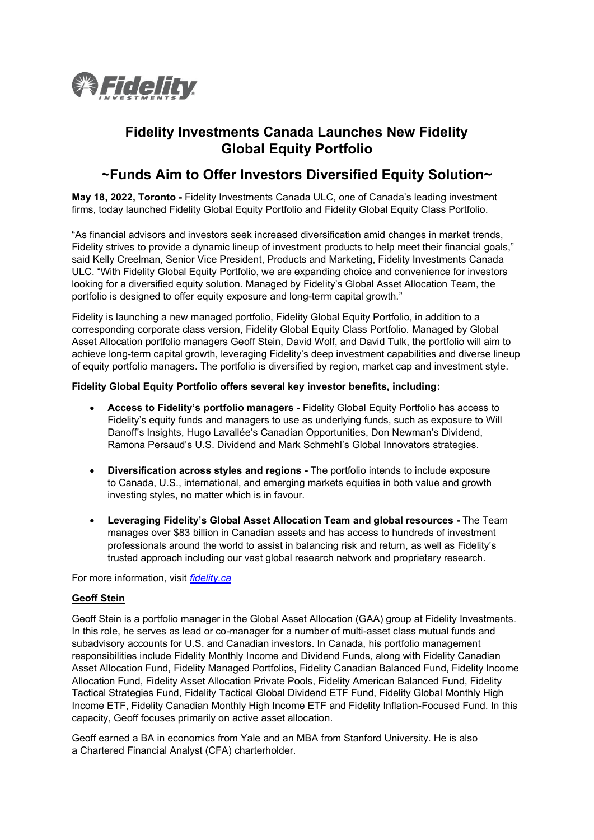

# **Fidelity Investments Canada Launches New Fidelity Global Equity Portfolio**

## **~Funds Aim to Offer Investors Diversified Equity Solution~**

**May 18, 2022, Toronto -** Fidelity Investments Canada ULC, one of Canada's leading investment firms, today launched Fidelity Global Equity Portfolio and Fidelity Global Equity Class Portfolio.

"As financial advisors and investors seek increased diversification amid changes in market trends, Fidelity strives to provide a dynamic lineup of investment products to help meet their financial goals," said Kelly Creelman, Senior Vice President, Products and Marketing, Fidelity Investments Canada ULC. "With Fidelity Global Equity Portfolio, we are expanding choice and convenience for investors looking for a diversified equity solution. Managed by Fidelity's Global Asset Allocation Team, the portfolio is designed to offer equity exposure and long-term capital growth."

Fidelity is launching a new managed portfolio, Fidelity Global Equity Portfolio, in addition to a corresponding corporate class version, Fidelity Global Equity Class Portfolio. Managed by Global Asset Allocation portfolio managers Geoff Stein, David Wolf, and David Tulk, the portfolio will aim to achieve long-term capital growth, leveraging Fidelity's deep investment capabilities and diverse lineup of equity portfolio managers. The portfolio is diversified by region, market cap and investment style.

## **Fidelity Global Equity Portfolio offers several key investor benefits, including:**

- **Access to Fidelity's portfolio managers -** Fidelity Global Equity Portfolio has access to Fidelity's equity funds and managers to use as underlying funds, such as exposure to Will Danoff's Insights, Hugo Lavallée's Canadian Opportunities, Don Newman's Dividend, Ramona Persaud's U.S. Dividend and Mark Schmehl's Global Innovators strategies.
- **Diversification across styles and regions -** The portfolio intends to include exposure to Canada, U.S., international, and emerging markets equities in both value and growth investing styles, no matter which is in favour.
- **Leveraging Fidelity's Global Asset Allocation Team and global resources -** The Team manages over \$83 billion in Canadian assets and has access to hundreds of investment professionals around the world to assist in balancing risk and return, as well as Fidelity's trusted approach including our vast global research network and proprietary research.

For more information, visit *[fidelity.ca](https://www.fidelity.ca/)*

## **Geoff Stein**

Geoff Stein is a portfolio manager in the Global Asset Allocation (GAA) group at Fidelity Investments. In this role, he serves as lead or co-manager for a number of multi-asset class mutual funds and subadvisory accounts for U.S. and Canadian investors. In Canada, his portfolio management responsibilities include Fidelity Monthly Income and Dividend Funds, along with Fidelity Canadian Asset Allocation Fund, Fidelity Managed Portfolios, Fidelity Canadian Balanced Fund, Fidelity Income Allocation Fund, Fidelity Asset Allocation Private Pools, Fidelity American Balanced Fund, Fidelity Tactical Strategies Fund, Fidelity Tactical Global Dividend ETF Fund, Fidelity Global Monthly High Income ETF, Fidelity Canadian Monthly High Income ETF and Fidelity Inflation-Focused Fund. In this capacity, Geoff focuses primarily on active asset allocation.

Geoff earned a BA in economics from Yale and an MBA from Stanford University. He is also a Chartered Financial Analyst (CFA) charterholder.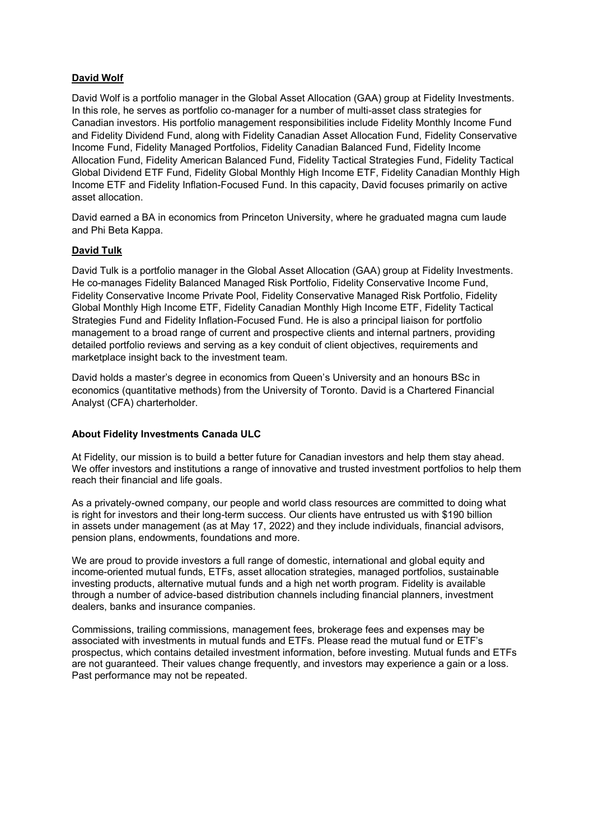## **David Wolf**

David Wolf is a portfolio manager in the Global Asset Allocation (GAA) group at Fidelity Investments. In this role, he serves as portfolio co-manager for a number of multi-asset class strategies for Canadian investors. His portfolio management responsibilities include Fidelity Monthly Income Fund and Fidelity Dividend Fund, along with Fidelity Canadian Asset Allocation Fund, Fidelity Conservative Income Fund, Fidelity Managed Portfolios, Fidelity Canadian Balanced Fund, Fidelity Income Allocation Fund, Fidelity American Balanced Fund, Fidelity Tactical Strategies Fund, Fidelity Tactical Global Dividend ETF Fund, Fidelity Global Monthly High Income ETF, Fidelity Canadian Monthly High Income ETF and Fidelity Inflation-Focused Fund. In this capacity, David focuses primarily on active asset allocation.

David earned a BA in economics from Princeton University, where he graduated magna cum laude and Phi Beta Kappa.

## **David Tulk**

David Tulk is a portfolio manager in the Global Asset Allocation (GAA) group at Fidelity Investments. He co-manages Fidelity Balanced Managed Risk Portfolio, Fidelity Conservative Income Fund, Fidelity Conservative Income Private Pool, Fidelity Conservative Managed Risk Portfolio, Fidelity Global Monthly High Income ETF, Fidelity Canadian Monthly High Income ETF, Fidelity Tactical Strategies Fund and Fidelity Inflation-Focused Fund. He is also a principal liaison for portfolio management to a broad range of current and prospective clients and internal partners, providing detailed portfolio reviews and serving as a key conduit of client objectives, requirements and marketplace insight back to the investment team.

David holds a master's degree in economics from Queen's University and an honours BSc in economics (quantitative methods) from the University of Toronto. David is a Chartered Financial Analyst (CFA) charterholder.

## **About Fidelity Investments Canada ULC**

At Fidelity, our mission is to build a better future for Canadian investors and help them stay ahead. We offer investors and institutions a range of innovative and trusted investment portfolios to help them reach their financial and life goals.

As a privately-owned company, our people and world class resources are committed to doing what is right for investors and their long-term success. Our clients have entrusted us with \$190 billion in assets under management (as at May 17, 2022) and they include individuals, financial advisors, pension plans, endowments, foundations and more.

We are proud to provide investors a full range of domestic, international and global equity and income-oriented mutual funds, ETFs, asset allocation strategies, managed portfolios, sustainable investing products, alternative mutual funds and a high net worth program. Fidelity is available through a number of advice-based distribution channels including financial planners, investment dealers, banks and insurance companies.

Commissions, trailing commissions, management fees, brokerage fees and expenses may be associated with investments in mutual funds and ETFs. Please read the mutual fund or ETF's prospectus, which contains detailed investment information, before investing. Mutual funds and ETFs are not guaranteed. Their values change frequently, and investors may experience a gain or a loss. Past performance may not be repeated.